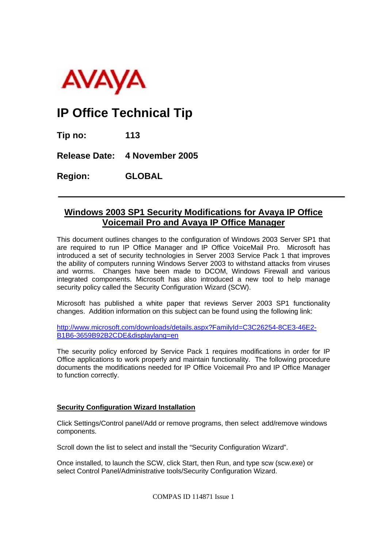

## **IP Office Technical Tip**

**Tip no: 113** 

**Release Date: 4 November 2005** 

**Region: GLOBAL**

## **Windows 2003 SP1 Security Modifications for Avaya IP Office Voicemail Pro and Avaya IP Office Manager**

This document outlines changes to the configuration of Windows 2003 Server SP1 that are required to run IP Office Manager and IP Office VoiceMail Pro. Microsoft has introduced a set of security technologies in Server 2003 Service Pack 1 that improves the ability of computers running Windows Server 2003 to withstand attacks from viruses and worms. Changes have been made to DCOM, Windows Firewall and various integrated components. Microsoft has also introduced a new tool to help manage security policy called the Security Configuration Wizard (SCW).

Microsoft has published a white paper that reviews Server 2003 SP1 functionality changes. Addition information on this subject can be found using the following link:

http://www.microsoft.com/downloads/details.aspx?FamilyId=C3C26254-8CE3-46E2- B1B6-3659B92B2CDE&displaylang=en

The security policy enforced by Service Pack 1 requires modifications in order for IP Office applications to work properly and maintain functionality. The following procedure documents the modifications needed for IP Office Voicemail Pro and IP Office Manager to function correctly.

## **Security Configuration Wizard Installation**

Click Settings/Control panel/Add or remove programs, then select add/remove windows components.

Scroll down the list to select and install the "Security Configuration Wizard".

Once installed, to launch the SCW, click Start, then Run, and type scw (scw.exe) or select Control Panel/Administrative tools/Security Configuration Wizard.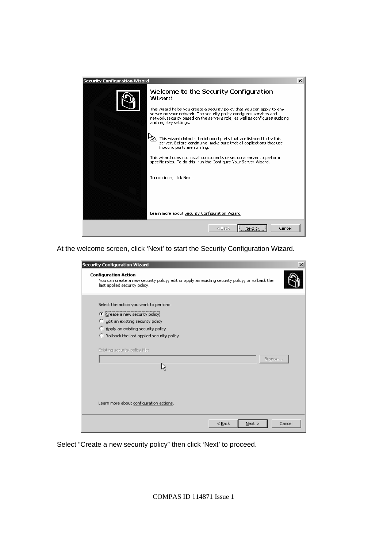

At the welcome screen, click 'Next' to start the Security Configuration Wizard.

| <b>Security Configuration Wizard</b>                                                                                                                                                                                                   |  |
|----------------------------------------------------------------------------------------------------------------------------------------------------------------------------------------------------------------------------------------|--|
| <b>Configuration Action</b><br>You can create a new security policy; edit or apply an existing security policy; or rollback the<br>last applied security policy.                                                                       |  |
| Select the action you want to perform:<br>C Create a new security policy<br>C Edit an existing security policy<br>C Apply an existing security policy<br>C Rollback the last applied security policy<br>Existing security policy file: |  |
| Browse                                                                                                                                                                                                                                 |  |
| Learn more about configuration actions.                                                                                                                                                                                                |  |
| $<$ Back<br>Cancel<br>Next                                                                                                                                                                                                             |  |

Select "Create a new security policy" then click 'Next' to proceed.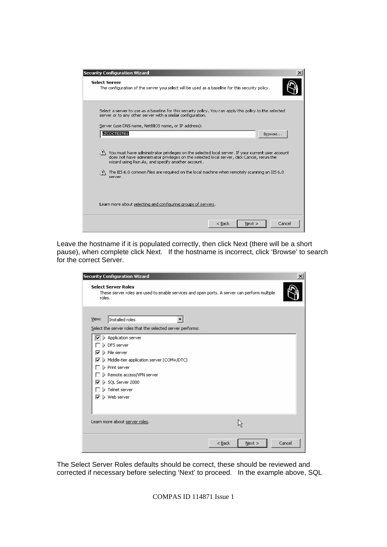| <b>Security Configuration Wizard</b>                                                                                                                                                                                                                                                                                                                                                             |        |
|--------------------------------------------------------------------------------------------------------------------------------------------------------------------------------------------------------------------------------------------------------------------------------------------------------------------------------------------------------------------------------------------------|--------|
| <b>Select Server</b><br>The configuration of the server you select will be used as a baseline for this security policy.                                                                                                                                                                                                                                                                          |        |
| Select a server to use as a baseline for this security policy. You can apply this policy to the selected<br>server or to any other server with a similar configuration.<br>Server (use DNS name, NetBIOS name, or IP address):                                                                                                                                                                   |        |
| LZCCCTEST01                                                                                                                                                                                                                                                                                                                                                                                      | Browse |
| $\langle \cdot \rangle$ You must have administrator privileges on the selected local server. If your current user account<br>does not have administrator privileges on the selected local server, click Cancel, rerun the<br>wizard using Run As, and specify another account.<br>The IIS 6.0 common files are required on the local machine when remotely scanning an IIS 6.0<br>ÆΝ.<br>server. |        |
| Learn more about selecting and configuring groups of servers.                                                                                                                                                                                                                                                                                                                                    |        |
| $<$ Back<br>Next >                                                                                                                                                                                                                                                                                                                                                                               | Cancel |

Leave the hostname if it is populated correctly, then click Next (there will be a short pause), when complete click Next. If the hostname is incorrect, click 'Browse' to search for the correct Server.

| <b>Security Configuration Wizard</b><br><b>Select Server Roles</b><br>These server roles are used to enable services and open ports. A server can perform multiple                                                                                                                                                                                    |        |
|-------------------------------------------------------------------------------------------------------------------------------------------------------------------------------------------------------------------------------------------------------------------------------------------------------------------------------------------------------|--------|
| roles.<br>View:<br>Installed roles                                                                                                                                                                                                                                                                                                                    |        |
| Select the server roles that the selected server performs:<br>$\boxed{\triangledown}$ > Application server<br>DFS server<br>$\triangleright$ File server<br>⊽<br>Middle-tier application server (COM+/DTC)<br>⊽<br>$\triangleright$ Print server<br>Remote access/VPN server (<br>> SQL Server 2000<br>⊽<br>Telnet server<br><b>D</b> Web server<br>⊽ |        |
| Learn more about server roles.                                                                                                                                                                                                                                                                                                                        |        |
| $<$ Back<br>Next                                                                                                                                                                                                                                                                                                                                      | Cancel |

The Select Server Roles defaults should be correct, these should be reviewed and corrected if necessary before selecting 'Next' to proceed. In the example above, SQL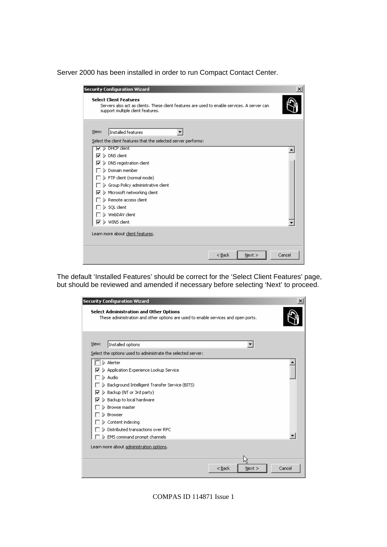Server 2000 has been installed in order to run Compact Contact Center.

|         | <b>Security Configuration Wizard</b>                                                                                                                               | $\vert x \vert$ |
|---------|--------------------------------------------------------------------------------------------------------------------------------------------------------------------|-----------------|
|         | <b>Select Client Features</b><br>Servers also act as clients. These client features are used to enable services. A server can<br>support multiple client features. |                 |
| View:   | Installed features<br>Select the client features that the selected server performs:                                                                                |                 |
| D<br>ے  | <b>DHCP</b> client                                                                                                                                                 |                 |
| ⊽<br>D. | DNS client                                                                                                                                                         |                 |
| ▽       | DNS registration client                                                                                                                                            |                 |
|         | Domain member                                                                                                                                                      |                 |
|         | $\triangleright$ FTP client (normal mode).                                                                                                                         |                 |
| Ъ.      | Group Policy administrative client                                                                                                                                 |                 |
| ⊽       | $\triangleright$ Microsoft networking client                                                                                                                       |                 |
|         | $\triangleright$ Remote access client.                                                                                                                             |                 |
|         | )> SQL client                                                                                                                                                      |                 |
|         | WebDAV client                                                                                                                                                      |                 |
| ⊽       | I WINS client                                                                                                                                                      |                 |
|         | Learn more about client features.                                                                                                                                  |                 |
|         | $<$ Back<br>Next                                                                                                                                                   | Cancel          |

The default 'Installed Features' should be correct for the 'Select Client Features' page, but should be reviewed and amended if necessary before selecting 'Next' to proceed.

|        | <b>Security Configuration Wizard</b>                                                                                          |      | ×      |
|--------|-------------------------------------------------------------------------------------------------------------------------------|------|--------|
|        | Select Administration and Other Options<br>These administration and other options are used to enable services and open ports. |      |        |
|        |                                                                                                                               |      |        |
| View:  | Installed options                                                                                                             |      |        |
|        | Select the options used to administrate the selected server:                                                                  |      |        |
|        | $\Box$ > Alerter                                                                                                              |      |        |
| ▽      | Application Experience Lookup Service                                                                                         |      |        |
| ID.    | Audio                                                                                                                         |      |        |
|        | Background Intelligent Transfer Service (BITS)                                                                                |      |        |
| ⊽<br>▷ | Backup (NT or 3rd party)                                                                                                      |      |        |
| ▽      | Backup to local hardware                                                                                                      |      |        |
|        | Browse master                                                                                                                 |      |        |
|        | Browser                                                                                                                       |      |        |
|        | Content indexing                                                                                                              |      |        |
|        | Distributed transactions over RPC                                                                                             |      |        |
|        | EMS command prompt channels                                                                                                   |      |        |
|        | Learn more about administration options.                                                                                      |      |        |
|        |                                                                                                                               |      |        |
|        |                                                                                                                               |      |        |
|        | $<$ Back                                                                                                                      | Next | Cancel |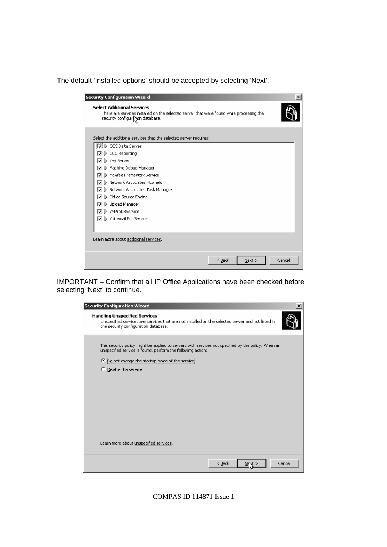The default 'Installed options' should be accepted by selecting 'Next'.

| <b>Security Configuration Wizard</b>                                                                                                                              | $\boldsymbol{\mathsf{x}}$ |
|-------------------------------------------------------------------------------------------------------------------------------------------------------------------|---------------------------|
| <b>Select Additional Services</b><br>There are services installed on the selected server that were found while processing the<br>security configuration database. |                           |
| Select the additional services that the selected server requires:                                                                                                 |                           |
| IØ D CCC Delta Server                                                                                                                                             |                           |
| CCC Reporting<br>☞                                                                                                                                                |                           |
| ▷ Key Server<br>⊽                                                                                                                                                 |                           |
| Machine Debug Manager<br>⊽                                                                                                                                        |                           |
| <b>D</b> McAfee Framework Service<br>⊽                                                                                                                            |                           |
| <b>D</b> Network Associates McShield<br>⊽                                                                                                                         |                           |
| > Network Associates Task Manager<br>⊽                                                                                                                            |                           |
| > Office Source Engine<br>⊽                                                                                                                                       |                           |
| D Upload Manager<br>⊽                                                                                                                                             |                           |
| D WMProDBService<br>⊽                                                                                                                                             |                           |
| <b>D</b> Voicemail Pro Service<br>⊽                                                                                                                               |                           |
|                                                                                                                                                                   |                           |
| Learn more about additional services.                                                                                                                             |                           |
| < Back<br>Next                                                                                                                                                    | Cancel                    |

IMPORTANT – Confirm that all IP Office Applications have been checked before selecting 'Next' to continue.

| <b>Security Configuration Wizard</b><br>$\vert x \vert$                                                                                                                           |
|-----------------------------------------------------------------------------------------------------------------------------------------------------------------------------------|
| <b>Handling Unspecified Services</b><br>Unspecified services are services that are not installed on the selected server and not listed in<br>the security configuration database. |
| This security policy might be applied to servers with services not specified by the policy. When an<br>unspecified service is found, perform the following action:                |
| <sup>6</sup> Do not change the startup mode of the service                                                                                                                        |
| C Disable the service                                                                                                                                                             |
|                                                                                                                                                                                   |
|                                                                                                                                                                                   |
|                                                                                                                                                                                   |
|                                                                                                                                                                                   |
|                                                                                                                                                                                   |
|                                                                                                                                                                                   |
| Learn more about unspecified services.                                                                                                                                            |
| $<$ Back<br>Cancel<br>Ner≪t ∶                                                                                                                                                     |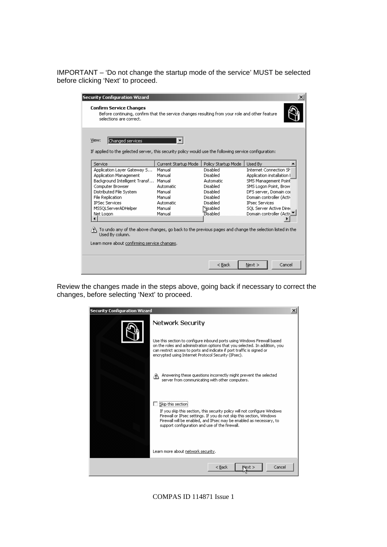IMPORTANT – 'Do not change the startup mode of the service' MUST be selected before clicking 'Next' to proceed.

| View:<br><b>Ehanged services</b><br>If applied to the selected server, this security policy would use the following service configuration:                                                        |                      |                     |                               |
|---------------------------------------------------------------------------------------------------------------------------------------------------------------------------------------------------|----------------------|---------------------|-------------------------------|
| Service                                                                                                                                                                                           | Current Startup Mode | Policy Startup Mode | Used By                       |
| Application Layer Gateway S                                                                                                                                                                       | Manual               | Disabled            | <b>Internet Connection SH</b> |
| Application Management                                                                                                                                                                            | Manual               | Disabled            | Application installation (    |
| Background Intelligent Transf                                                                                                                                                                     | Manual               | Automatic           | SMS Management Point          |
| Computer Browser                                                                                                                                                                                  | <b>Automatic</b>     | <b>Disabled</b>     | SMS Logon Point, Browl        |
| Distributed File System                                                                                                                                                                           | Manual               | Disabled            | DFS server, Domain col        |
| File Replication                                                                                                                                                                                  | Manual               | Disabled            | Domain controller (Activ      |
| <b>IPSec Services</b>                                                                                                                                                                             | Automatic            | Disabled            | <b>IPsec Services</b>         |
| MSSQLServerADHelper                                                                                                                                                                               | Manual               | Nisabled            | SQL Server Active Direc       |
| Net Logon                                                                                                                                                                                         | Manual               | <b>Disabled</b>     | Domain controller (Activith   |
|                                                                                                                                                                                                   |                      |                     |                               |
| $\langle \cdot \rangle$ To undo any of the above changes, go back to the previous pages and change the selection listed in the<br>Used By column.<br>Learn more about confirming service changes. |                      |                     |                               |

Review the changes made in the steps above, going back if necessary to correct the changes, before selecting 'Next' to proceed.

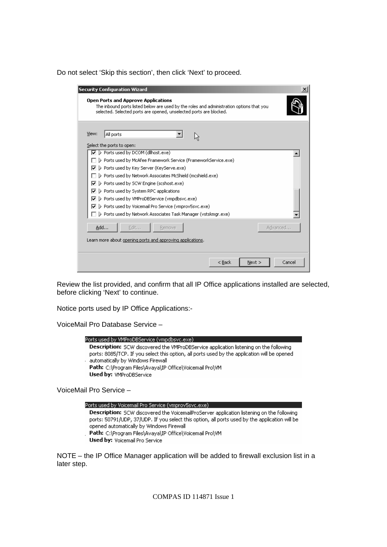Do not select 'Skip this section', then click 'Next' to proceed.

| <b>Open Ports and Approve Applications</b><br>The inbound ports listed below are used by the roles and administration options that you<br>selected. Selected ports are opened, unselected ports are blocked.<br>View:<br>All ports<br>Select the ports to open:<br>> Ports used by DCOM (dllhost.exe)<br>D Ports used by McAfee Framework Service (FrameworkService.exe)<br>▷ Ports used by Key Server (KeyServe.exe)<br>⊽<br><b>D</b> Ports used by Network Associates McShield (mcshield.exe)<br>P Ports used by SCW Engine (scshost.exe)<br>⊽<br>▷ Ports used by System RPC applications<br>⊽<br>▷ Ports used by VMProDBService (vmpdbsvc.exe)<br>⊽<br>> Ports used by Voicemail Pro Service (vmprov5svc.exe)<br>⊽<br>▷ Ports used by Network Associates Task Manager (vstskmgr.exe)<br>Advanced<br>Add<br>Edit<br>Remove<br>Learn more about opening ports and approving applications. | <b>Security Configuration Wizard</b> |
|--------------------------------------------------------------------------------------------------------------------------------------------------------------------------------------------------------------------------------------------------------------------------------------------------------------------------------------------------------------------------------------------------------------------------------------------------------------------------------------------------------------------------------------------------------------------------------------------------------------------------------------------------------------------------------------------------------------------------------------------------------------------------------------------------------------------------------------------------------------------------------------------|--------------------------------------|
|                                                                                                                                                                                                                                                                                                                                                                                                                                                                                                                                                                                                                                                                                                                                                                                                                                                                                            |                                      |
|                                                                                                                                                                                                                                                                                                                                                                                                                                                                                                                                                                                                                                                                                                                                                                                                                                                                                            |                                      |
|                                                                                                                                                                                                                                                                                                                                                                                                                                                                                                                                                                                                                                                                                                                                                                                                                                                                                            |                                      |
|                                                                                                                                                                                                                                                                                                                                                                                                                                                                                                                                                                                                                                                                                                                                                                                                                                                                                            |                                      |
|                                                                                                                                                                                                                                                                                                                                                                                                                                                                                                                                                                                                                                                                                                                                                                                                                                                                                            |                                      |
|                                                                                                                                                                                                                                                                                                                                                                                                                                                                                                                                                                                                                                                                                                                                                                                                                                                                                            |                                      |
|                                                                                                                                                                                                                                                                                                                                                                                                                                                                                                                                                                                                                                                                                                                                                                                                                                                                                            |                                      |
|                                                                                                                                                                                                                                                                                                                                                                                                                                                                                                                                                                                                                                                                                                                                                                                                                                                                                            |                                      |
|                                                                                                                                                                                                                                                                                                                                                                                                                                                                                                                                                                                                                                                                                                                                                                                                                                                                                            |                                      |
|                                                                                                                                                                                                                                                                                                                                                                                                                                                                                                                                                                                                                                                                                                                                                                                                                                                                                            |                                      |
|                                                                                                                                                                                                                                                                                                                                                                                                                                                                                                                                                                                                                                                                                                                                                                                                                                                                                            |                                      |
|                                                                                                                                                                                                                                                                                                                                                                                                                                                                                                                                                                                                                                                                                                                                                                                                                                                                                            |                                      |
|                                                                                                                                                                                                                                                                                                                                                                                                                                                                                                                                                                                                                                                                                                                                                                                                                                                                                            |                                      |
|                                                                                                                                                                                                                                                                                                                                                                                                                                                                                                                                                                                                                                                                                                                                                                                                                                                                                            |                                      |
|                                                                                                                                                                                                                                                                                                                                                                                                                                                                                                                                                                                                                                                                                                                                                                                                                                                                                            |                                      |
| Cancel<br>< <u>B</u> ack<br>Next                                                                                                                                                                                                                                                                                                                                                                                                                                                                                                                                                                                                                                                                                                                                                                                                                                                           |                                      |

Review the list provided, and confirm that all IP Office applications installed are selected, before clicking 'Next' to continue.

Notice ports used by IP Office Applications:-

VoiceMail Pro Database Service –



VoiceMail Pro Service –



NOTE – the IP Office Manager application will be added to firewall exclusion list in a later step.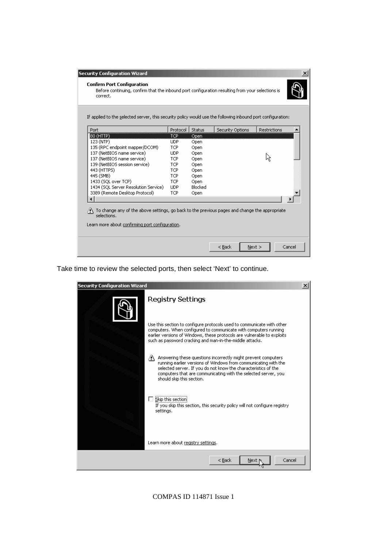|                                      |            |         | If applied to the selected server, this security policy would use the following inbound port configuration: |                     |  |
|--------------------------------------|------------|---------|-------------------------------------------------------------------------------------------------------------|---------------------|--|
| Port                                 | Protocol   | Status  | Security Options                                                                                            | <b>Restrictions</b> |  |
| 80 (HTTP)                            | <b>TCP</b> | Open    |                                                                                                             |                     |  |
| 123 (NTP)                            | <b>UDP</b> | Open    |                                                                                                             |                     |  |
| 135 (RPC endpoint mapper/DCOM)       | <b>TCP</b> | Open    |                                                                                                             |                     |  |
| 137 (NetBIOS name service)           | <b>UDP</b> | Open    |                                                                                                             |                     |  |
| 137 (NetBIOS name service)           | <b>TCP</b> | Open    |                                                                                                             |                     |  |
| 139 (NetBIOS session service)        | <b>TCP</b> | Open    |                                                                                                             |                     |  |
| 443 (HTTPS)                          | <b>TCP</b> | Open    |                                                                                                             |                     |  |
| 445 (SMB)                            | <b>TCP</b> | Open    |                                                                                                             |                     |  |
| 1433 (SOL over TCP)                  | <b>TCP</b> | Open    |                                                                                                             |                     |  |
| 1434 (SQL Server Resolution Service) | <b>UDP</b> | Blocked |                                                                                                             |                     |  |
| 3389 (Remote Desktop Protocol)       | <b>TCP</b> | Open    |                                                                                                             |                     |  |
|                                      |            |         |                                                                                                             |                     |  |

Take time to review the selected ports, then select 'Next' to continue.

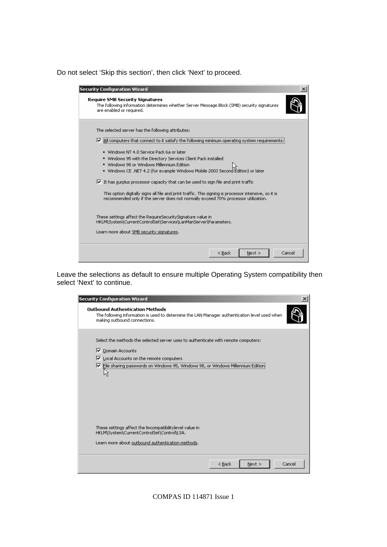Do not select 'Skip this section', then click 'Next' to proceed.

| <b>Security Configuration Wizard</b>                                                                                                                                                                                                                                                             |  |
|--------------------------------------------------------------------------------------------------------------------------------------------------------------------------------------------------------------------------------------------------------------------------------------------------|--|
| <b>Require SMB Security Signatures</b><br>The following information determines whether Server Message Block (SMB) security signatures<br>are enabled or required.                                                                                                                                |  |
| The selected server has the following attributes:<br>All computers that connect to it satisfy the following minimum operating system requireme<br>⊽                                                                                                                                              |  |
| · Windows NT 4.0 Service Pack 6a or later<br>. Windows 95 with the Directory Services Client Pack installed<br>. Windows 98 or Windows Millennium Edition<br>• Windows CE .NET 4.2 (for example Windows Mobile 2003 Second Edition) or later                                                     |  |
| $\triangledown$ It has surplus processor capacity that can be used to sign file and print traffic<br>This option digitally signs all file and print traffic. This signing is processor intensive, so it is<br>recommended only if the server does not normally exceed 70% processor utilization. |  |
| These settings affect the RequireSecuritySignature value in<br>HKLM\System\CurrentControlSet\Services\LanManServer\Parameters.<br>Learn more about SMB security signatures.                                                                                                                      |  |
| $<$ Back<br>Cancel<br>Next >                                                                                                                                                                                                                                                                     |  |

Leave the selections as default to ensure multiple Operating System compatibility then select 'Next' to continue.

| <b>Security Configuration Wizard</b>                                                                                                                                    | $\vert x \vert$ |
|-------------------------------------------------------------------------------------------------------------------------------------------------------------------------|-----------------|
| <b>Outbound Authentication Methods</b><br>The following information is used to determine the LAN Manager authentication level used when<br>making outbound connections. |                 |
| Select the methods the selected server uses to authenticate with remote computers:<br>Domain Accounts<br>1⊽                                                             |                 |
| ⊽<br>Local Accounts on the remote computers                                                                                                                             |                 |
| ▽ File sharing passwords on Windows 95, Windows 98, or Windows Millennium Edition<br>45                                                                                 |                 |
| These settings affect the Imcompatibilitylevel value in<br>HKLM\System\CurrentControlSet\Control\LSA.                                                                   |                 |
| Learn more about outbound authentication methods.                                                                                                                       |                 |
| $<$ Back<br>Cancel<br>Next                                                                                                                                              |                 |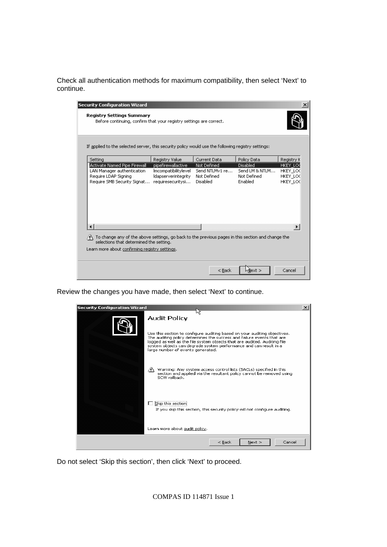Check all authentication methods for maximum compatibility, then select 'Next' to continue.

| <b>Security Configuration Wizard</b>                                                                                                                  |                                                 |                         |                        | $\boldsymbol{\mathsf{x}}$ |
|-------------------------------------------------------------------------------------------------------------------------------------------------------|-------------------------------------------------|-------------------------|------------------------|---------------------------|
| <b>Registry Settings Summary</b><br>Before continuing, confirm that your registry settings are correct.                                               |                                                 |                         |                        |                           |
| If applied to the selected server, this security policy would use the following registry settings:                                                    |                                                 |                         |                        |                           |
| Setting                                                                                                                                               | Registry Value                                  | Current Data            | Policy Data            | Registry K                |
| Activate Named Pipe Firewall                                                                                                                          | pipefirewallactive                              | Not Defined             | Disabled               | hkey loo                  |
| LAN Manager authentication                                                                                                                            | Imcompatibilitylevel                            | Send NTLMv1 re          | Send LM & NTLM         | HKEY LOC                  |
| Require LDAP Signing<br>Require SMB Security Signat                                                                                                   | <b>Idapserverintegrity</b><br>requiresecuritysi | Not Defined<br>Disabled | Not Defined<br>Enabled | HKEY LOC<br>HKEY_LO(      |
|                                                                                                                                                       |                                                 |                         |                        |                           |
|                                                                                                                                                       |                                                 |                         |                        |                           |
| $\wedge$ To change any of the above settings, go back to the previous pages in this section and change the<br>selections that determined the setting. |                                                 |                         |                        |                           |
| Learn more about confirming registry settings.                                                                                                        |                                                 |                         |                        |                           |
|                                                                                                                                                       |                                                 | < Back                  | hilext >               | Cancel                    |

Review the changes you have made, then select 'Next' to continue.



Do not select 'Skip this section', then click 'Next' to proceed.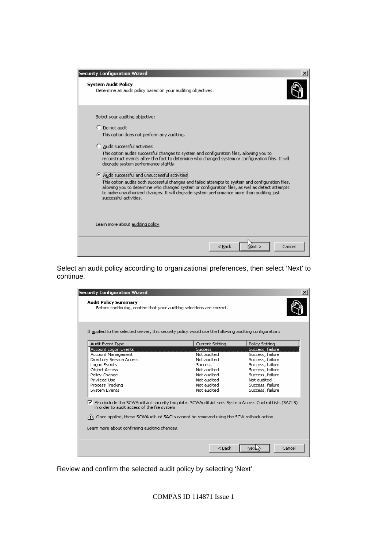| <b>Security Configuration Wizard</b>                                                                                                                                                                                                                                                                                                                                             |
|----------------------------------------------------------------------------------------------------------------------------------------------------------------------------------------------------------------------------------------------------------------------------------------------------------------------------------------------------------------------------------|
| <b>System Audit Policy</b><br>Determine an audit policy based on your auditing objectives,                                                                                                                                                                                                                                                                                       |
| Select your auditing objective:                                                                                                                                                                                                                                                                                                                                                  |
| C Do not audit<br>This option does not perform any auditing.                                                                                                                                                                                                                                                                                                                     |
| Audit successful activities<br>o<br>This option audits successful changes to system and configuration files, allowing you to<br>reconstruct events after the fact to determine who changed system or configuration files. It will<br>degrade system performance slightly,                                                                                                        |
| Audit successful and unsuccessful activities<br>G.<br>This option audits both successful changes and failed attempts to system and configuration files,<br>allowing you to determine who changed system or configuration files, as well as detect attempts<br>to make unauthorized changes. It will degrade system performance more than auditing just<br>successful activities. |
| Learn more about auditing policy.                                                                                                                                                                                                                                                                                                                                                |
| Cancel<br>$<$ Back                                                                                                                                                                                                                                                                                                                                                               |

Select an audit policy according to organizational preferences, then select 'Next' to continue.

| If applied to the selected server, this security policy would use the following auditing configuration:                                                                                                                                                                                                                    |                 |                  |
|----------------------------------------------------------------------------------------------------------------------------------------------------------------------------------------------------------------------------------------------------------------------------------------------------------------------------|-----------------|------------------|
| Audit Event Type                                                                                                                                                                                                                                                                                                           | Current Setting | Policy Setting   |
| Account Logon Events                                                                                                                                                                                                                                                                                                       | <b>Success</b>  | Success, failure |
| Account Management                                                                                                                                                                                                                                                                                                         | Not audited     | Success, failure |
| Directory Service Access                                                                                                                                                                                                                                                                                                   | Not audited     | Success, failure |
| Logon Events                                                                                                                                                                                                                                                                                                               | <b>Success</b>  | Success, failure |
| <b>Object Access</b>                                                                                                                                                                                                                                                                                                       | Not audited     | Success, failure |
| Policy Change                                                                                                                                                                                                                                                                                                              | Not audited     | Success, failure |
| Privilege Use                                                                                                                                                                                                                                                                                                              | Not audited     | Not audited      |
| Process Tracking                                                                                                                                                                                                                                                                                                           | Not audited     | Success, failure |
| <b>System Events</b>                                                                                                                                                                                                                                                                                                       | Not audited     | Success, failure |
| Also include the SCWAudit.inf security template. SCWAudit.inf sets System Access Control Lists (SACLS)<br>in order to audit access of the file system.<br>$\langle \cdot \rangle$ Once applied, these SCWAudit.inf SACLs cannot be removed using the SCW rollback action.<br>Learn more about confirming auditing changes. |                 |                  |

Review and confirm the selected audit policy by selecting 'Next'.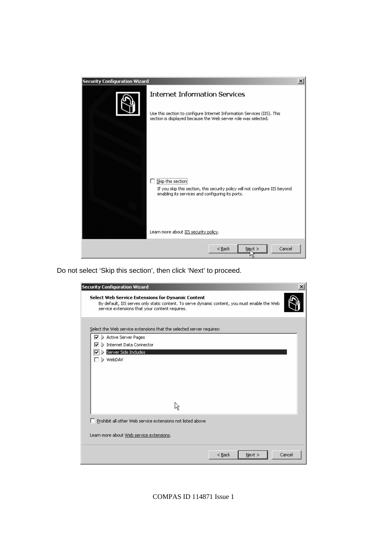

Do not select 'Skip this section', then click 'Next' to proceed.

| <b>Security Configuration Wizard</b>                                                                                                                                                                 |        |
|------------------------------------------------------------------------------------------------------------------------------------------------------------------------------------------------------|--------|
| Select Web Service Extensions for Dynamic Content<br>By default, IIS serves only static content. To serve dynamic content, you must enable the Web<br>service extensions that your content requires. |        |
| Select the Web service extensions that the selected server requires:                                                                                                                                 |        |
| Active Server Pages<br>⊽                                                                                                                                                                             |        |
| <b>D</b> Internet Data Connector<br>⊽                                                                                                                                                                |        |
| Server Side Includes                                                                                                                                                                                 |        |
| WebDAV                                                                                                                                                                                               |        |
|                                                                                                                                                                                                      |        |
|                                                                                                                                                                                                      |        |
|                                                                                                                                                                                                      |        |
|                                                                                                                                                                                                      |        |
| ☆                                                                                                                                                                                                    |        |
| Prohibit all other Web service extensions not listed above                                                                                                                                           |        |
| Learn more about Web service extensions.                                                                                                                                                             |        |
| $<$ Back<br>Next                                                                                                                                                                                     | Cancel |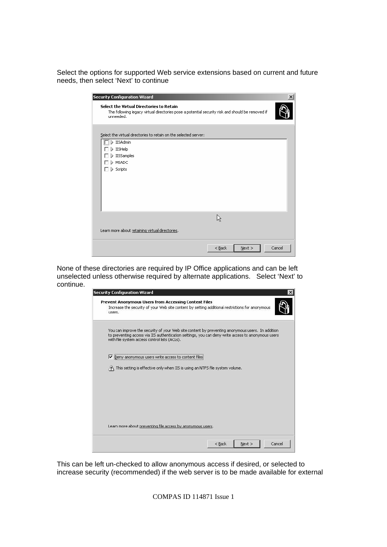Select the options for supported Web service extensions based on current and future needs, then select 'Next' to continue

| <b>Security Configuration Wizard</b>                                                                                                                      | $\vert x \vert$ |
|-----------------------------------------------------------------------------------------------------------------------------------------------------------|-----------------|
| Select the Virtual Directories to Retain<br>The following legacy virtual directories pose a potential security risk and should be removed if<br>unneeded. |                 |
| Select the virtual directories to retain on the selected server:                                                                                          |                 |
| $\Box$ > IISAdmin<br>) IISHelp<br>> IISSamples<br>D MSADC<br>$\triangleright$ Scripts                                                                     |                 |
|                                                                                                                                                           |                 |
| Learn more about retaining virtual directories.                                                                                                           |                 |
| $<$ Back<br>Next                                                                                                                                          | Cancel          |

None of these directories are required by IP Office applications and can be left unselected unless otherwise required by alternate applications. Select 'Next' to continue.

| <b>Security Configuration Wizard</b>                                                                                                                                                                                                                    |
|---------------------------------------------------------------------------------------------------------------------------------------------------------------------------------------------------------------------------------------------------------|
| Prevent Anonymous Users from Accessing Content Files<br>Increase the security of your Web site content by setting additional restrictions for anonymous<br>users.                                                                                       |
| You can improve the security of your Web site content by preventing anonymous users. In addition<br>to preventing access via IIS authentication settings, you can deny write access to anonymous users<br>with file system access control lists (ACLs). |
| ⊽<br>Deny anonymous users write access to content files!                                                                                                                                                                                                |
| This setting is effective only when IIS is using an NTFS file system volume.                                                                                                                                                                            |
|                                                                                                                                                                                                                                                         |
|                                                                                                                                                                                                                                                         |
|                                                                                                                                                                                                                                                         |
| Learn more about preventing file access by anonymous users.                                                                                                                                                                                             |
| $<$ Back<br>Cancel<br>Next                                                                                                                                                                                                                              |

This can be left un-checked to allow anonymous access if desired, or selected to increase security (recommended) if the web server is to be made available for external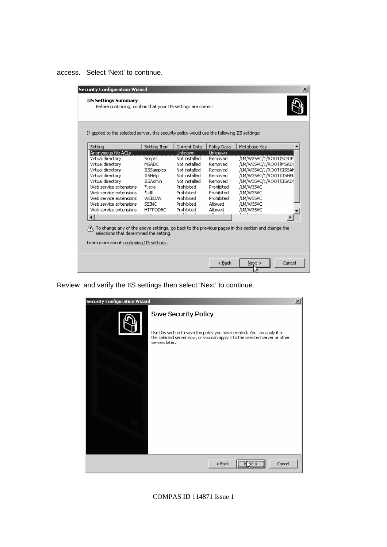access. Select 'Next' to continue.

|                         | Setting Item      | Current Data   | Policy Data | Metabase Key            |
|-------------------------|-------------------|----------------|-------------|-------------------------|
| Anonymous file ACLs     |                   | <b>Unknown</b> | Unknown     |                         |
| Virtual directory       | Scripts           | Not installed  | Removed     | /LM/W3SVC/1/ROOT/SCRIP  |
| Virtual directory       | <b>MSADC</b>      | Not installed  | Removed     | /LM/W3SVC/1/ROOT/MSAD(  |
| Virtual directory       | <b>IISSamples</b> | Not installed  | Removed     | /LM/W3SVC/1/ROOT/IISSAN |
| Virtual directory       | <b>IISHelp</b>    | Not installed  | Removed     | /LM/W3SVC/1/ROOT/IISHEL |
| Virtual directory       | <b>IISAdmin</b>   | Not installed  | Removed     | /LM/W3SVC/1/ROOT/IISADI |
| Web service extensions  | *.exe             | Prohibited     | Prohibited  | /LM/W3SVC               |
| Web service extensions  | *.d∥              | Prohibited     | Prohibited  | /LM/W3SVC               |
| Web service extensions  | <b>WEBDAV</b>     | Prohibited     | Prohibited  | /LM/W3SVC               |
| Web service extensions. | <b>SSINC</b>      | Prohibited     | Allowed     | /LM/W3SVC               |
| Web service extensions. | <b>HTTPODBC</b>   | Prohibited     | Allowed     | /LM/W3SVC               |
|                         |                   | $1 - 1 - 1$    |             |                         |

Review and verify the IIS settings then select 'Next' to continue.

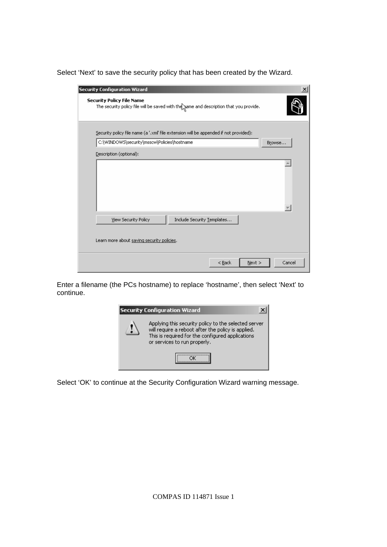Select 'Next' to save the security policy that has been created by the Wizard.

| <b>Security Configuration Wizard</b><br><b>Security Policy File Name</b><br>The security policy file will be saved with the same and description that you provide. |        |
|--------------------------------------------------------------------------------------------------------------------------------------------------------------------|--------|
| Security policy file name (a '.xml' file extension will be appended if not provided):                                                                              |        |
| C:\WINDOWS\security\msscw\Policies\hostname                                                                                                                        | Browse |
| Description (optional):                                                                                                                                            |        |
|                                                                                                                                                                    |        |
| Include Security Templates<br><b>View Security Policy</b>                                                                                                          |        |
| Learn more about saving security policies.                                                                                                                         |        |
| $<$ Back<br>Next                                                                                                                                                   | Cancel |

Enter a filename (the PCs hostname) to replace 'hostname', then select 'Next' to continue.



Select 'OK' to continue at the Security Configuration Wizard warning message.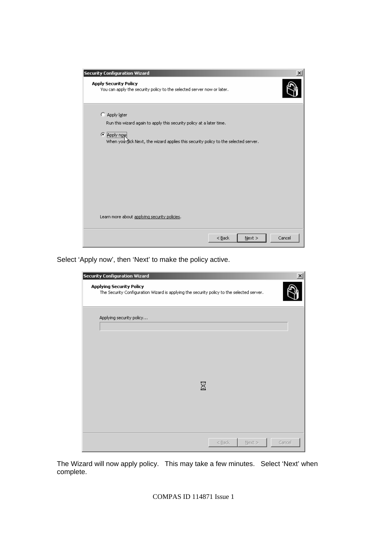| <b>Security Configuration Wizard</b>                                                                                                                                                            | $\boldsymbol{\mathsf{x}}$ |
|-------------------------------------------------------------------------------------------------------------------------------------------------------------------------------------------------|---------------------------|
| <b>Apply Security Policy</b><br>You can apply the security policy to the selected server now or later.                                                                                          |                           |
| C Apply later<br>Run this wizard again to apply this security policy at a later time.<br>G.<br>Apply now<br>When you wick Next, the wizard applies this security policy to the selected server. |                           |
| Learn more about applying security policies.                                                                                                                                                    |                           |
| $<$ Back<br>Next                                                                                                                                                                                | Cancel                    |

Select 'Apply now', then 'Next' to make the policy active.

| Security Configuration Wizard                                                                                                |   |          |          |        |
|------------------------------------------------------------------------------------------------------------------------------|---|----------|----------|--------|
| <b>Applying Security Policy</b><br>The Security Configuration Wizard is applying the security policy to the selected server. |   |          |          |        |
| Applying security policy                                                                                                     |   |          |          |        |
|                                                                                                                              |   |          |          |        |
|                                                                                                                              |   |          |          |        |
|                                                                                                                              |   |          |          |        |
|                                                                                                                              |   |          |          |        |
|                                                                                                                              | ⊠ |          |          |        |
|                                                                                                                              |   |          |          |        |
|                                                                                                                              |   |          |          |        |
|                                                                                                                              |   | $<$ Back | $Next$ > | Cancel |

The Wizard will now apply policy. This may take a few minutes. Select 'Next' when complete.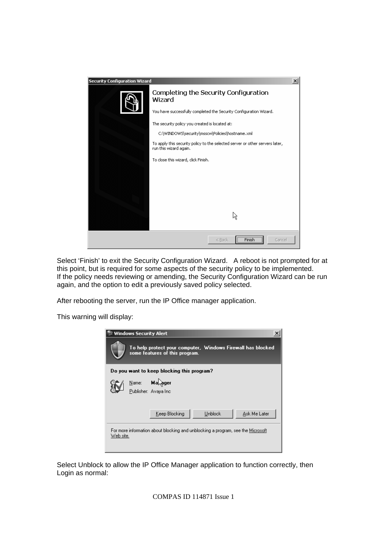

Select 'Finish' to exit the Security Configuration Wizard. A reboot is not prompted for at this point, but is required for some aspects of the security policy to be implemented. If the policy needs reviewing or amending, the Security Configuration Wizard can be run again, and the option to edit a previously saved policy selected.

After rebooting the server, run the IP Office manager application.

This warning will display:



Select Unblock to allow the IP Office Manager application to function correctly, then Login as normal: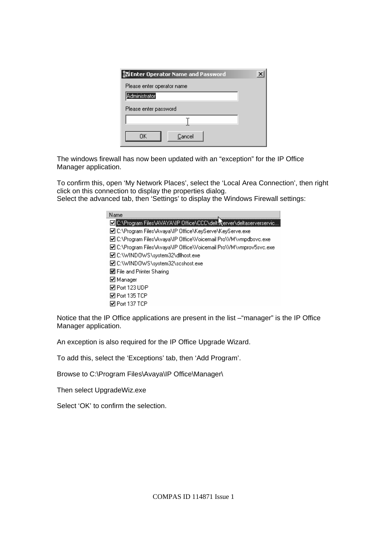| Enter Operator Name and Password |  |
|----------------------------------|--|
| Please enter operator name       |  |
| Administrator                    |  |
| Please enter password            |  |
|                                  |  |
| Cancel<br>ΠK                     |  |

The windows firewall has now been updated with an "exception" for the IP Office Manager application.

To confirm this, open 'My Network Places', select the 'Local Area Connection', then right click on this connection to display the properties dialog. Select the advanced tab, then 'Settings' to display the Windows Firewall settings:



Notice that the IP Office applications are present in the list –"manager" is the IP Office Manager application.

An exception is also required for the IP Office Upgrade Wizard.

To add this, select the 'Exceptions' tab, then 'Add Program'.

Browse to C:\Program Files\Avaya\IP Office\Manager\

Then select UpgradeWiz.exe

Select 'OK' to confirm the selection.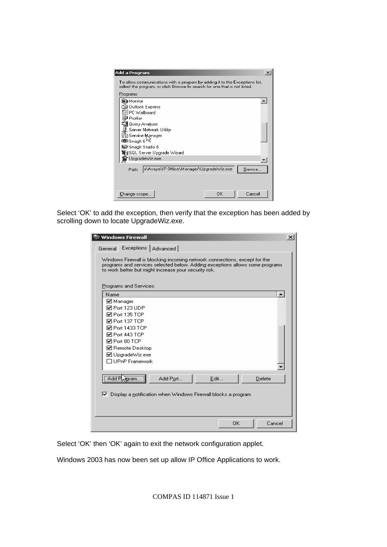

Select 'OK' to add the exception, then verify that the exception has been added by scrolling down to locate UpgradeWiz.exe.

| े Windows Firewall                                                                                                                                                                                                                           | $\vert x \vert$  |
|----------------------------------------------------------------------------------------------------------------------------------------------------------------------------------------------------------------------------------------------|------------------|
| Exceptions   Advanced  <br>General                                                                                                                                                                                                           |                  |
| Windows Firewall is blocking incoming network connections, except for the<br>programs and services selected below. Adding exceptions allows some programs<br>to work better but might increase your security risk.<br>Programs and Services: |                  |
| Name                                                                                                                                                                                                                                         | $\blacktriangle$ |
| ⊠ Manager<br><b>जिPort 123 UDP</b><br>MPort 135 TCP<br><b>☑</b> Port 137 TCP<br>MPort 1433 TCP<br>☑ Port 443 TCP<br><b>☑</b> Port 80 TCP<br>☑ Remote Desktop<br>☑ UpgradeWiz.exe<br>□ UPnP Framework                                         |                  |
| .<br>Ädd F<br>Add Port<br>Edit<br>Delete<br>aram<br>$\triangledown$ Display a notification when Windows Firewall blocks a program                                                                                                            |                  |
| Cancel<br>0K                                                                                                                                                                                                                                 |                  |

Select 'OK' then 'OK' again to exit the network configuration applet.

Windows 2003 has now been set up allow IP Office Applications to work.